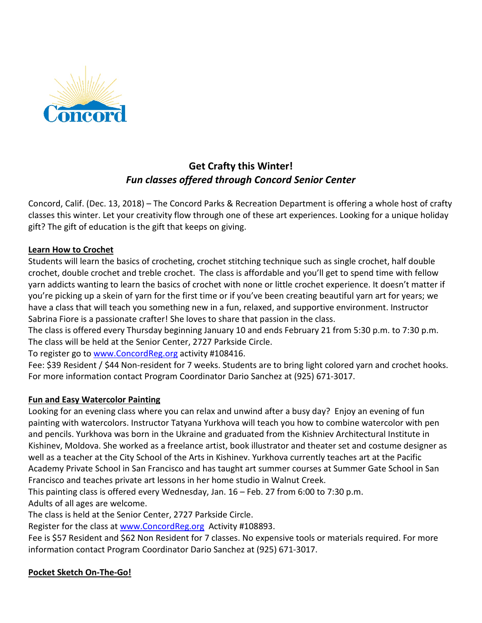

# **Get Crafty this Winter!** *Fun classes offered through Concord Senior Center*

Concord, Calif. (Dec. 13, 2018) – The Concord Parks & Recreation Department is offering a whole host of crafty classes this winter. Let your creativity flow through one of these art experiences. Looking for a unique holiday gift? The gift of education is the gift that keeps on giving.

## **Learn How to Crochet**

Students will learn the basics of crocheting, crochet stitching technique such as single crochet, half double crochet, double crochet and treble crochet. The class is affordable and you'll get to spend time with fellow yarn addicts wanting to learn the basics of crochet with none or little crochet experience. It doesn't matter if you're picking up a skein of yarn for the first time or if you've been creating beautiful yarn art for years; we have a class that will teach you something new in a fun, relaxed, and supportive environment. Instructor Sabrina Fiore is a passionate crafter! She loves to share that passion in the class.

The class is offered every Thursday beginning January 10 and ends February 21 from 5:30 p.m. to 7:30 p.m. The class will be held at the Senior Center, 2727 Parkside Circle.

To register go to [www.ConcordReg.org](http://www.concordreg.org/) activity #108416.

Fee: \$39 Resident / \$44 Non-resident for 7 weeks. Students are to bring light colored yarn and crochet hooks. For more information contact Program Coordinator Dario Sanchez at (925) 671-3017.

#### **Fun and Easy Watercolor Painting**

Looking for an evening class where you can relax and unwind after a busy day? Enjoy an evening of fun painting with watercolors. Instructor Tatyana Yurkhova will teach you how to combine watercolor with pen and pencils. Yurkhova was born in the Ukraine and graduated from the Kishniev Architectural Institute in Kishinev, Moldova. She worked as a freelance artist, book illustrator and theater set and costume designer as well as a teacher at the City School of the Arts in Kishinev. Yurkhova currently teaches art at the Pacific Academy Private School in San Francisco and has taught art summer courses at Summer Gate School in San Francisco and teaches private art lessons in her home studio in Walnut Creek.

This painting class is offered every Wednesday, Jan. 16 – Feb. 27 from 6:00 to 7:30 p.m.

Adults of all ages are welcome.

The class is held at the Senior Center, 2727 Parkside Circle.

Register for the class at [www.ConcordReg.org](http://www.concordreg.org/) Activity #108893.

Fee is \$57 Resident and \$62 Non Resident for 7 classes. No expensive tools or materials required. For more information contact Program Coordinator Dario Sanchez at (925) 671-3017.

# **Pocket Sketch On-The-Go!**